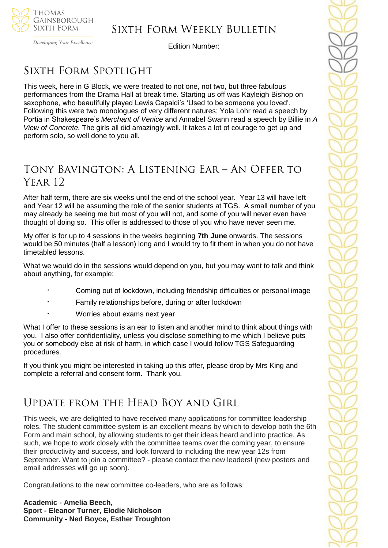

## Sixth Form Weekly Bulletin

Developing Your Excellence

Edition Number:

# SIXTH FORM SPOTLIGHT

This week, here in G Block, we were treated to not one, not two, but three fabulous performances from the Drama Hall at break time. Starting us off was Kayleigh Bishop on saxophone, who beautifully played Lewis Capaldi's 'Used to be someone you loved'. Following this were two monologues of very different natures; Yola Lohr read a speech by Portia in Shakespeare's *Merchant of Venice* and Annabel Swann read a speech by Billie in *A View of Concrete.* The girls all did amazingly well. It takes a lot of courage to get up and perform solo, so well done to you all.

## Tony Bavington: A Listening Ear – An Offer to YEAR 12

After half term, there are six weeks until the end of the school year. Year 13 will have left and Year 12 will be assuming the role of the senior students at TGS. A small number of you may already be seeing me but most of you will not, and some of you will never even have thought of doing so. This offer is addressed to those of you who have never seen me.

My offer is for up to 4 sessions in the weeks beginning **7th June** onwards. The sessions would be 50 minutes (half a lesson) long and I would try to fit them in when you do not have timetabled lessons.

What we would do in the sessions would depend on you, but you may want to talk and think about anything, for example:

- · Coming out of lockdown, including friendship difficulties or personal image
- Family relationships before, during or after lockdown
- Worries about exams next year

What I offer to these sessions is an ear to listen and another mind to think about things with you. I also offer confidentiality, unless you disclose something to me which I believe puts you or somebody else at risk of harm, in which case I would follow TGS Safeguarding procedures.

If you think you might be interested in taking up this offer, please drop by Mrs King and complete a referral and consent form. Thank you.

## Update from the Head Boy and Girl

This week, we are delighted to have received many applications for committee leadership roles. The student committee system is an excellent means by which to develop both the 6th Form and main school, by allowing students to get their ideas heard and into practice. As such, we hope to work closely with the committee teams over the coming year, to ensure their productivity and success, and look forward to including the new year 12s from September. Want to join a committee? - please contact the new leaders! (new posters and email addresses will go up soon).

Congratulations to the new committee co-leaders, who are as follows:

**Academic - Amelia Beech, Sport - Eleanor Turner, Elodie Nicholson Community - Ned Boyce, Esther Troughton**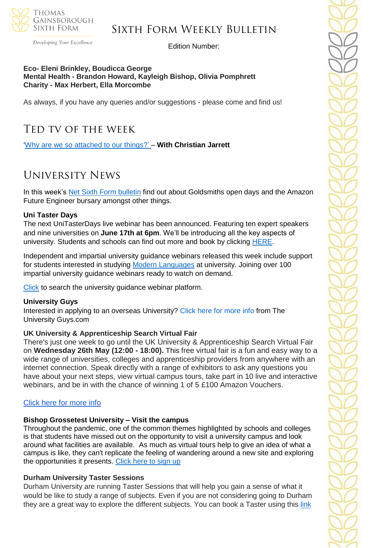

### Sixth Form Weekly Bulletin

Developing Your Excellence

Edition Number:

#### **Eco- Eleni Brinkley, Boudicca George Mental Health - Brandon Howard, Kayleigh Bishop, Olivia Pomphrett Charity - Max Herbert, Ella Morcombe**

As always, if you have any queries and/or suggestions - please come and find us!

## Ted tv of the week

['Why are we so attached to our things?'](https://www.ted.com/talks/christian_jarrett_why_are_we_so_attached_to_our_things) – **With Christian Jarrett**

## University News

In this week's [Net Sixth Form bulletin](https://us5.campaign-archive.com/?u=8dedc07ce580600fe618f38c3&id=80680a8b09&e=5eb29481e7) find out about Goldsmiths open days and the Amazon Future Engineer bursary amongst other things.

#### **Uni Taster Days**

The next UniTasterDays live webinar has been announced. Featuring ten expert speakers and nine universities on **June 17th at 6pm**. We'll be introducing all the key aspects of university. Students and schools can find out more and book by clicking [HERE.](https://www.unitasterdays.com/midlandswebinar)

Independent and impartial university guidance webinars released this week include support for students interested in studying [Modern Languages](https://www.unitasterdays.com/ondemand/webinar/118/modern-languages) at university. Joining over 100 impartial university guidance webinars ready to watch on demand.

[Click](https://www.unitasterdays.com/ondemand) to search the university guidance webinar platform.

#### **University Guys**

Interested in applying to an overseas University? [Click here for more info](https://www.theuniversityguys.com/?utm_source=Head+of+Sixth+Free+Newsletter&utm_campaign=a034473c45-17+May+campaign&utm_medium=email&utm_term=0_36c44588b4-a034473c45-115737769) from The University Guys.com

#### **UK University & Apprenticeship Search Virtual Fair**

There's just one week to go until the UK University & Apprenticeship Search Virtual Fair on **Wednesday 26th May (12:00 - 18:00).** This free virtual fair is a fun and easy way to a wide range of universities, colleges and apprenticeship providers from anywhere with an internet connection. Speak directly with a range of exhibitors to ask any questions you have about your next steps, view virtual campus tours, take part in 10 live and interactive webinars, and be in with the chance of winning 1 of 5 £100 Amazon Vouchers.

#### [Click here for more info](https://ukunisearchsouth.vfairs.com/)

#### **Bishop Grossetest University – Visit the campus**

Throughout the pandemic, one of the common themes highlighted by schools and colleges is that students have missed out on the opportunity to visit a university campus and look around what facilities are available. As much as virtual tours help to give an idea of what a campus is like, they can't replicate the feeling of wandering around a new site and exploring the opportunities it presents. [Click here to sign up](https://share.hsforms.com/1bsW9UwOQQgC5j8VpPtGmjw1n2f7?utm_campaign=BGU%20School%20and%20Colleges%202021&utm_medium=email&_hsmi=128176086&_hsenc=p2ANqtz--9z5xnHm3d3LAkbd0NQqSD1KqGBhah85M-543eO5UmhkJMdVwVkjMY9Qfdwbmu4NgYa_GC9i3GpjGcEpVb_ciz23yswA&utm_content=128176086&utm_source=hs_email)

#### **Durham University Taster Sessions**

Durham University are running Taster Sessions that will help you gain a sense of what it would be like to study a range of subjects. Even if you are not considering going to Durham they are a great way to explore the different subjects. You can book a Taster using this [link](https://app.geckoform.com/public/?_cldee=Y3RhbGJvdEB0Z3NjaG9vbC5uZXQ%3d&recipientid=account-a9d7fdb85016e81180cc00155d00328a-417938f0bbba4c30be2923e04628fbfa&esid=2f8facd1-b6b4-eb11-8236-000d3a874046#/modern/FOEU0360sd2xPcUM)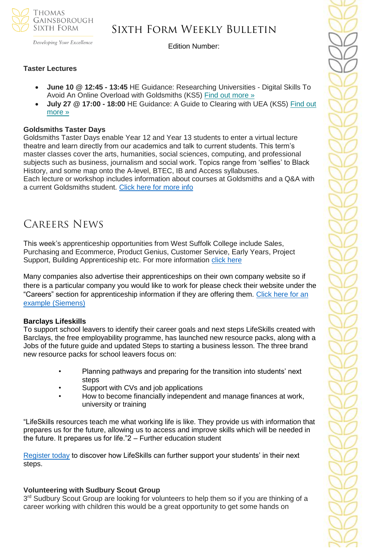

Developing Your Excellence

### Sixth Form Weekly Bulletin

Edition Number:

#### **Taster Lectures**

- **June 10 @ 12:45 - 13:45** HE Guidance: Researching Universities Digital Skills To Avoid An Online Overload with Goldsmiths (KS5) [Find out more »](https://channeltalent.us10.list-manage.com/track/click?u=145837fa6843e0c349598322a&id=681ac4d7dd&e=155232616c)
- **July 27 @ 17:00 - 18:00** HE Guidance: A Guide to Clearing with UEA (KS5) [Find out](https://channeltalent.us10.list-manage.com/track/click?u=145837fa6843e0c349598322a&id=399a6249f4&e=155232616c)  [more »](https://channeltalent.us10.list-manage.com/track/click?u=145837fa6843e0c349598322a&id=399a6249f4&e=155232616c)

#### **Goldsmiths Taster Days**

Goldsmiths Taster Days enable Year 12 and Year 13 students to enter a virtual lecture theatre and learn directly from our academics and talk to current students. This term's master classes cover the arts, humanities, social sciences, computing, and professional subjects such as business, journalism and social work. Topics range from 'selfies' to Black History, and some map onto the A-level, BTEC, IB and Access syllabuses. Each lecture or workshop includes information about courses at Goldsmiths and a Q&A with a current Goldsmiths student. [Click here for more info](https://www.gold.ac.uk/gold-taster-days/?utm_source=Head+of+Sixth+Free+Newsletter&utm_campaign=80680a8b09-Student+opportunities+-+17+May+2021&utm_medium=email&utm_term=0_36c44588b4-80680a8b09-115737769&mc_cid=80680a8b09&mc_eid=51b5a4fd55)

### Careers News

This week's apprenticeship opportunities from West Suffolk College include Sales, Purchasing and Ecommerce, Product Genius, Customer Service, Early Years, Project Support, Building Apprenticeship etc. For more information [click here](https://apprenticeships.wsc.ac.uk/)

Many companies also advertise their apprenticeships on their own company website so if there is a particular company you would like to work for please check their website under the "Careers" section for apprenticeship information if they are offering them. [Click here for an](https://new.siemens.com/uk/en/company/jobs/search-careers/apprenticeships.html)  [example \(Siemens\)](https://new.siemens.com/uk/en/company/jobs/search-careers/apprenticeships.html)

#### **Barclays Lifeskills**

To support school leavers to identify their career goals and next steps LifeSkills created with Barclays, the free employability programme, has launched new resource packs, along with a Jobs of the future guide and updated Steps to starting a business lesson. The three brand new resource packs for school leavers focus on:

- Planning pathways and preparing for the transition into students' next steps
- Support with CVs and job applications
- How to become financially independent and manage finances at work, university or training

"LifeSkills resources teach me what working life is like. They provide us with information that prepares us for the future, allowing us to access and improve skills which will be needed in the future. It prepares us for life."2 – Further education student

[Register today](https://barclayslifeskills.com/sign-in/educator/?utm_source=Website&utm_medium=EM&utm_campaign=HS_May_Rec_16plus_Register&utm_term=HS_SE&gator_td=Us15UxaOYBFUb7f8sgrX69%2bhf%2foZIJGUrykImj78WHzvAHOAS5UNcmxWvYyh%2fWpxK%2bdamIocW4iPomTxX%2fWX%2f%2bgFLbie5%2bjwEnI%2fSsFkUne9CmO%2fBIMIEDHaMwq4GJsUkDO6aoqk5VkOtM7XupbHa2k1pnJp7VYGp3uutfye9TNmw5nB8VM4Y0nZr1BbEHMex938G413SPBB1IL4XJWlmA%3d%3d) to discover how LifeSkills can further support your students' in their next steps.

#### **Volunteering with Sudbury Scout Group**

3<sup>rd</sup> Sudbury Scout Group are looking for volunteers to help them so if you are thinking of a career working with children this would be a great opportunity to get some hands on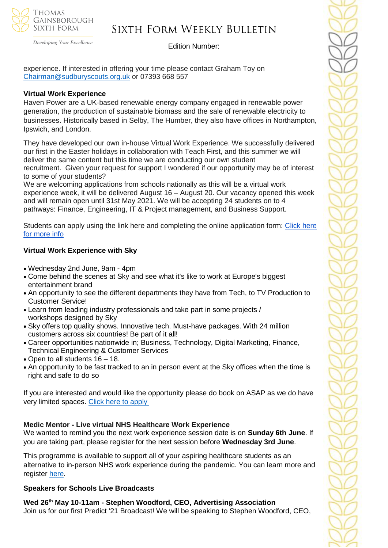

## Sixth Form Weekly Bulletin

Developing Your Excellence

#### Edition Number:

experience. If interested in offering your time please contact Graham Toy on [Chairman@sudburyscouts.org.uk](mailto:Chairman@sudburyscouts.org.uk) or 07393 668 557

#### **Virtual Work Experience**

Haven Power are a UK-based renewable energy company engaged in renewable power generation, the production of sustainable biomass and the sale of renewable electricity to businesses. Historically based in Selby, The Humber, they also have offices in Northampton, Ipswich, and London.

They have developed our own in-house Virtual Work Experience. We successfully delivered our first in the Easter holidays in collaboration with Teach First, and this summer we will deliver the same content but this time we are conducting our own student recruitment. Given your request for support I wondered if our opportunity may be of interest to some of your students?

We are welcoming applications from schools nationally as this will be a virtual work experience week, it will be delivered August 16 – August 20. Our vacancy opened this week and will remain open until 31st May 2021. We will be accepting 24 students on to 4 pathways: Finance, Engineering, IT & Project management, and Business Support.

Students can apply using the link here and completing the online application form: [Click here](https://draxgroup.csod.com/ux/ats/careersite/11/home/requisition/1846?c=draxgroup)  [for more info](https://draxgroup.csod.com/ux/ats/careersite/11/home/requisition/1846?c=draxgroup)

#### **Virtual Work Experience with Sky**

- Wednesday 2nd June, 9am 4pm
- Come behind the scenes at Sky and see what it's like to work at Europe's biggest entertainment brand
- An opportunity to see the different departments they have from Tech, to TV Production to Customer Service!
- Learn from leading industry professionals and take part in some projects / workshops designed by Sky
- Sky offers top quality shows. Innovative tech. Must-have packages. With 24 million customers across six countries! Be part of it all!
- Career opportunities nationwide in; Business, Technology, Digital Marketing, Finance, Technical Engineering & Customer Services
- Open to all students 16 18.
- An opportunity to be fast tracked to an in person event at the Sky offices when the time is right and safe to do so

If you are interested and would like the opportunity please do book on ASAP as we do have very limited spaces. [Click here to apply](https://www.surveymonkey.co.uk/r/Sky-VWEX)

#### **Medic Mentor - Live virtual NHS Healthcare Work Experience**

We wanted to remind you the next work experience session date is on **Sunday 6th June**. If you are taking part, please register for the next session before **Wednesday 3rd June**.

This programme is available to support all of your aspiring healthcare students as an alternative to in-person NHS work experience during the pandemic. You can learn more and register [here.](https://alliedhealthmentor.org/nhs-healthcare-careers-virtual-work-experience/)

#### **Speakers for Schools Live Broadcasts**

**Wed 26th May 10-11am - Stephen Woodford, CEO, Advertising Association** Join us for our first Predict '21 Broadcast! We will be speaking to Stephen Woodford, CEO,